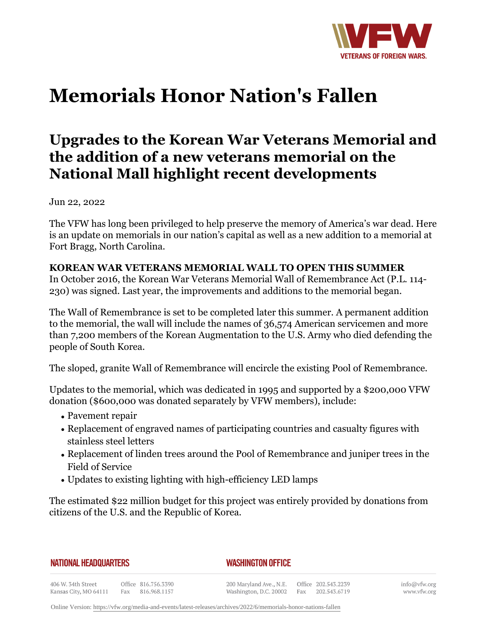

# **Memorials Honor Nation's Fallen**

# **Upgrades to the Korean War Veterans Memorial and the addition of a new veterans memorial on the National Mall highlight recent developments**

Jun 22, 2022

The VFW has long been privileged to help preserve the memory of America's war dead. Here is an update on memorials in our nation's capital as well as a new addition to a memorial at Fort Bragg, North Carolina.

# **KOREAN WAR VETERANS MEMORIAL WALL TO OPEN THIS SUMMER**

In October 2016, the Korean War Veterans Memorial Wall of Remembrance Act (P.L. 114- 230) was signed. Last year, the improvements and additions to the memorial began.

The Wall of Remembrance is set to be completed later this summer. A permanent addition to the memorial, the wall will include the names of 36,574 American servicemen and more than 7,200 members of the Korean Augmentation to the U.S. Army who died defending the people of South Korea.

The sloped, granite Wall of Remembrance will encircle the existing Pool of Remembrance.

Updates to the memorial, which was dedicated in 1995 and supported by a \$200,000 VFW donation (\$600,000 was donated separately by VFW members), include:

- Pavement repair
- Replacement of engraved names of participating countries and casualty figures with stainless steel letters
- $\bullet$  Replacement of linden trees around the Pool of Remembrance and juniper trees in the Field of Service
- Updates to existing lighting with high-efficiency LED lamps

The estimated \$22 million budget for this project was entirely provided by donations from citizens of the U.S. and the Republic of Korea.

|  |  |  |  |  |  |  |  | NATIONAL HEADQUARTERS |
|--|--|--|--|--|--|--|--|-----------------------|
|--|--|--|--|--|--|--|--|-----------------------|

## *WASHINGTON OFFICE*

406 W. 34th Street Office 816.756.3390 Fax 816.968.1157 Kansas City, MO 64111

200 Maryland Ave., N.E. Washington, D.C. 20002 Fax

Office 202.543.2239 202.543.6719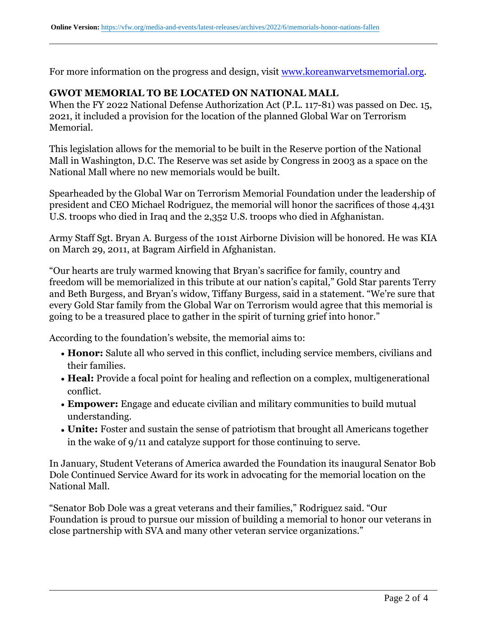For more information on the progress and design, visit <www.koreanwarvetsmemorial.org>.

### **GWOT MEMORIAL TO BE LOCATED ON NATIONAL MALL**

When the FY 2022 National Defense Authorization Act (P.L. 117-81) was passed on Dec. 15, 2021, it included a provision for the location of the planned Global War on Terrorism Memorial.

This legislation allows for the memorial to be built in the Reserve portion of the National Mall in Washington, D.C. The Reserve was set aside by Congress in 2003 as a space on the National Mall where no new memorials would be built.

Spearheaded by the Global War on Terrorism Memorial Foundation under the leadership of president and CEO Michael Rodriguez, the memorial will honor the sacrifices of those 4,431 U.S. troops who died in Iraq and the 2,352 U.S. troops who died in Afghanistan.

Army Staff Sgt. Bryan A. Burgess of the 101st Airborne Division will be honored. He was KIA on March 29, 2011, at Bagram Airfield in Afghanistan.

"Our hearts are truly warmed knowing that Bryan's sacrifice for family, country and freedom will be memorialized in this tribute at our nation's capital," Gold Star parents Terry and Beth Burgess, and Bryan's widow, Tiffany Burgess, said in a statement. "We're sure that every Gold Star family from the Global War on Terrorism would agree that this memorial is going to be a treasured place to gather in the spirit of turning grief into honor."

According to the foundation's website, the memorial aims to:

- **Honor:** Salute all who served in this conflict, including service members, civilians and their families.
- **Heal:** Provide a focal point for healing and reflection on a complex, multigenerational conflict.
- **Empower:** Engage and educate civilian and military communities to build mutual understanding.
- **Unite:** Foster and sustain the sense of patriotism that brought all Americans together in the wake of 9/11 and catalyze support for those continuing to serve.

In January, Student Veterans of America awarded the Foundation its inaugural Senator Bob Dole Continued Service Award for its work in advocating for the memorial location on the National Mall.

"Senator Bob Dole was a great veterans and their families," Rodriguez said. "Our Foundation is proud to pursue our mission of building a memorial to honor our veterans in close partnership with SVA and many other veteran service organizations."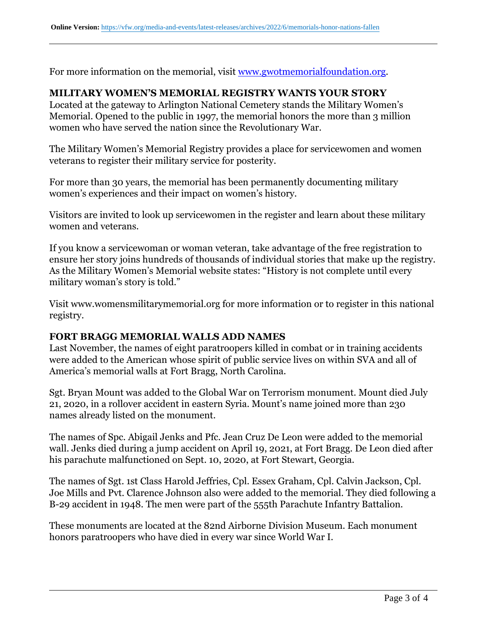For more information on the memorial, visit <www.gwotmemorialfoundation.org>.

### **MILITARY WOMEN'S MEMORIAL REGISTRY WANTS YOUR STORY**

Located at the gateway to Arlington National Cemetery stands the Military Women's Memorial. Opened to the public in 1997, the memorial honors the more than 3 million women who have served the nation since the Revolutionary War.

The Military Women's Memorial Registry provides a place for servicewomen and women veterans to register their military service for posterity.

For more than 30 years, the memorial has been permanently documenting military women's experiences and their impact on women's history.

Visitors are invited to look up servicewomen in the register and learn about these military women and veterans.

If you know a servicewoman or woman veteran, take advantage of the free registration to ensure her story joins hundreds of thousands of individual stories that make up the registry. As the Military Women's Memorial website states: "History is not complete until every military woman's story is told."

Visit www.womensmilitarymemorial.org for more information or to register in this national registry.

#### **FORT BRAGG MEMORIAL WALLS ADD NAMES**

Last November, the names of eight paratroopers killed in combat or in training accidents were added to the American whose spirit of public service lives on within SVA and all of America's memorial walls at Fort Bragg, North Carolina.

Sgt. Bryan Mount was added to the Global War on Terrorism monument. Mount died July 21, 2020, in a rollover accident in eastern Syria. Mount's name joined more than 230 names already listed on the monument.

The names of Spc. Abigail Jenks and Pfc. Jean Cruz De Leon were added to the memorial wall. Jenks died during a jump accident on April 19, 2021, at Fort Bragg. De Leon died after his parachute malfunctioned on Sept. 10, 2020, at Fort Stewart, Georgia.

The names of Sgt. 1st Class Harold Jeffries, Cpl. Essex Graham, Cpl. Calvin Jackson, Cpl. Joe Mills and Pvt. Clarence Johnson also were added to the memorial. They died following a B-29 accident in 1948. The men were part of the 555th Parachute Infantry Battalion.

These monuments are located at the 82nd Airborne Division Museum. Each monument honors paratroopers who have died in every war since World War I.